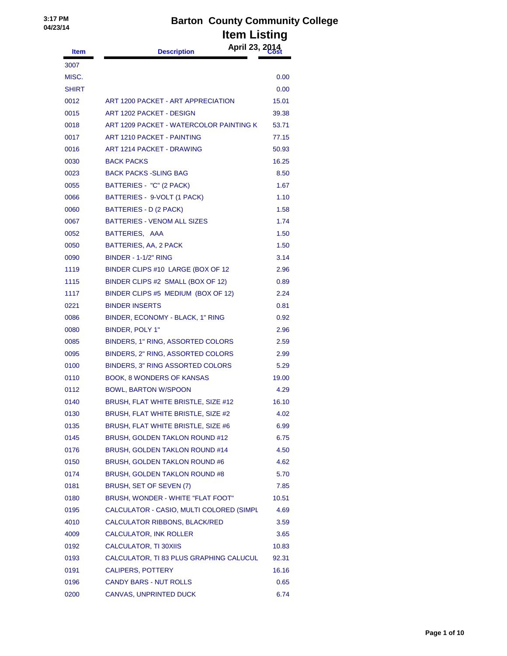| <b>Item</b>  | April 23, 2014<br><b>Description</b>     |       |
|--------------|------------------------------------------|-------|
| 3007         |                                          |       |
| MISC.        |                                          | 0.00  |
| <b>SHIRT</b> |                                          | 0.00  |
| 0012         | ART 1200 PACKET - ART APPRECIATION       | 15.01 |
| 0015         | ART 1202 PACKET - DESIGN                 | 39.38 |
| 0018         | ART 1209 PACKET - WATERCOLOR PAINTING KI | 53.71 |
| 0017         | <b>ART 1210 PACKET - PAINTING</b>        | 77.15 |
| 0016         | ART 1214 PACKET - DRAWING                | 50.93 |
| 0030         | <b>BACK PACKS</b>                        | 16.25 |
| 0023         | <b>BACK PACKS -SLING BAG</b>             | 8.50  |
| 0055         | BATTERIES - "C" (2 PACK)                 | 1.67  |
| 0066         | BATTERIES - 9-VOLT (1 PACK)              | 1.10  |
| 0060         | <b>BATTERIES - D (2 PACK)</b>            | 1.58  |
| 0067         | <b>BATTERIES - VENOM ALL SIZES</b>       | 1.74  |
| 0052         | BATTERIES, AAA                           | 1.50  |
| 0050         | <b>BATTERIES, AA, 2 PACK</b>             | 1.50  |
| 0090         | <b>BINDER - 1-1/2" RING</b>              | 3.14  |
| 1119         | BINDER CLIPS #10 LARGE (BOX OF 12        | 2.96  |
| 1115         | BINDER CLIPS #2 SMALL (BOX OF 12)        | 0.89  |
| 1117         | BINDER CLIPS #5 MEDIUM (BOX OF 12)       | 2.24  |
| 0221         | <b>BINDER INSERTS</b>                    | 0.81  |
| 0086         | BINDER, ECONOMY - BLACK, 1" RING         | 0.92  |
| 0080         | BINDER, POLY 1"                          | 2.96  |
| 0085         | BINDERS, 1" RING, ASSORTED COLORS        | 2.59  |
| 0095         | BINDERS, 2" RING, ASSORTED COLORS        | 2.99  |
| 0100         | <b>BINDERS, 3" RING ASSORTED COLORS</b>  | 5.29  |
| 0110         | <b>BOOK, 8 WONDERS OF KANSAS</b>         | 19.00 |
| 0112         | <b>BOWL, BARTON W/SPOON</b>              | 4.29  |
| 0140         | BRUSH, FLAT WHITE BRISTLE, SIZE #12      | 16.10 |
| 0130         | BRUSH, FLAT WHITE BRISTLE, SIZE #2       | 4.02  |
| 0135         | BRUSH, FLAT WHITE BRISTLE, SIZE #6       | 6.99  |
| 0145         | BRUSH, GOLDEN TAKLON ROUND #12           | 6.75  |
| 0176         | <b>BRUSH, GOLDEN TAKLON ROUND #14</b>    | 4.50  |
| 0150         | BRUSH, GOLDEN TAKLON ROUND #6            | 4.62  |
| 0174         | <b>BRUSH, GOLDEN TAKLON ROUND #8</b>     | 5.70  |
| 0181         | BRUSH, SET OF SEVEN (7)                  | 7.85  |
| 0180         | BRUSH, WONDER - WHITE "FLAT FOOT"        | 10.51 |
| 0195         | CALCULATOR - CASIO, MULTI COLORED (SIMPL | 4.69  |
| 4010         | CALCULATOR RIBBONS, BLACK/RED            | 3.59  |
| 4009         | CALCULATOR, INK ROLLER                   | 3.65  |
| 0192         | <b>CALCULATOR, TI 30XIIS</b>             | 10.83 |
| 0193         | CALCULATOR, TI 83 PLUS GRAPHING CALUCUL  | 92.31 |
| 0191         | <b>CALIPERS, POTTERY</b>                 | 16.16 |
| 0196         | <b>CANDY BARS - NUT ROLLS</b>            | 0.65  |
| 0200         | CANVAS, UNPRINTED DUCK                   | 6.74  |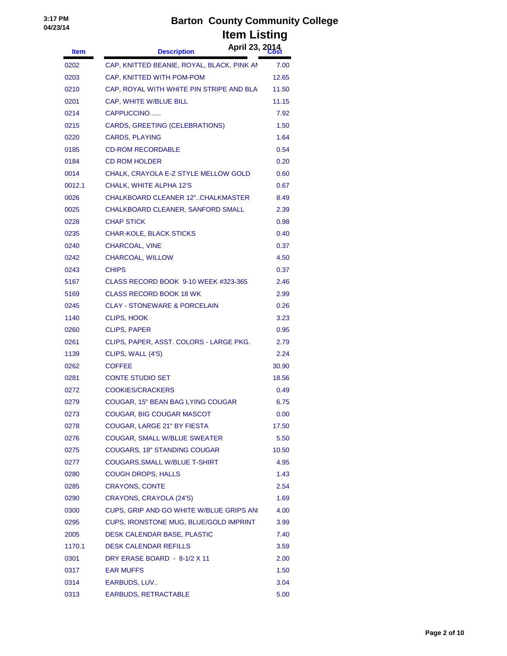**April 23, 2014 Item Description Cost**

| 0202   | CAP, KNITTED BEANIE, ROYAL, BLACK, PINK AN | 7.00  |
|--------|--------------------------------------------|-------|
| 0203   | CAP, KNITTED WITH POM-POM                  | 12.65 |
| 0210   | CAP, ROYAL WITH WHITE PIN STRIPE AND BLA   | 11.50 |
| 0201   | CAP, WHITE W/BLUE BILL                     | 11.15 |
| 0214   | CAPPUCCINO                                 | 7.92  |
| 0215   | CARDS, GREETING (CELEBRATIONS)             | 1.50  |
| 0220   | <b>CARDS, PLAYING</b>                      | 1.64  |
| 0185   | <b>CD-ROM RECORDABLE</b>                   | 0.54  |
| 0184   | <b>CD ROM HOLDER</b>                       | 0.20  |
| 0014   | CHALK, CRAYOLA E-Z STYLE MELLOW GOLD       | 0.60  |
| 0012.1 | CHALK, WHITE ALPHA 12'S                    | 0.67  |
| 0026   | <b>CHALKBOARD CLEANER 12"CHALKMASTER</b>   | 8.49  |
| 0025   | CHALKBOARD CLEANER, SANFORD SMALL          | 2.39  |
| 0228   | <b>CHAP STICK</b>                          | 0.98  |
| 0235   | CHAR-KOLE, BLACK STICKS                    | 0.40  |
| 0240   | CHARCOAL, VINE                             | 0.37  |
| 0242   | CHARCOAL, WILLOW                           | 4.50  |
| 0243   | <b>CHIPS</b>                               | 0.37  |
| 5167   | CLASS RECORD BOOK 9-10 WEEK #323-365       | 2.46  |
| 5169   | <b>CLASS RECORD BOOK 18 WK</b>             | 2.99  |
| 0245   | <b>CLAY - STONEWARE &amp; PORCELAIN</b>    | 0.26  |
| 1140   | <b>CLIPS, HOOK</b>                         | 3.23  |
| 0260   | <b>CLIPS, PAPER</b>                        | 0.95  |
| 0261   | CLIPS, PAPER, ASST. COLORS - LARGE PKG.    | 2.79  |
| 1139   | CLIPS, WALL (4'S)                          | 2.24  |
| 0262   | <b>COFFEE</b>                              | 30.90 |
| 0281   | <b>CONTE STUDIO SET</b>                    | 18.56 |
| 0272   | <b>COOKIES/CRACKERS</b>                    | 0.49  |
| 0279   | COUGAR, 15" BEAN BAG LYING COUGAR          | 6.75  |
| 0273   | COUGAR, BIG COUGAR MASCOT                  | 0.00  |
| 0278   | COUGAR, LARGE 21" BY FIESTA                | 17.50 |
| 0276   | COUGAR, SMALL W/BLUE SWEATER               | 5.50  |
| 0275   | COUGARS, 18" STANDING COUGAR               | 10.50 |
| 0277   | COUGARS, SMALL W/BLUE T-SHIRT              | 4.95  |
| 0280   | <b>COUGH DROPS, HALLS</b>                  | 1.43  |
| 0285   | <b>CRAYONS, CONTE</b>                      | 2.54  |
| 0290   | CRAYONS, CRAYOLA (24'S)                    | 1.69  |
| 0300   | CUPS, GRIP AND GO WHITE W/BLUE GRIPS ANI   | 4.00  |
| 0295   | CUPS, IRONSTONE MUG, BLUE/GOLD IMPRINT     | 3.99  |
| 2005   | DESK CALENDAR BASE, PLASTIC                | 7.40  |
| 1170.1 | <b>DESK CALENDAR REFILLS</b>               | 3.59  |
| 0301   | DRY ERASE BOARD - 8-1/2 X 11               | 2.00  |
| 0317   | <b>EAR MUFFS</b>                           | 1.50  |
| 0314   | EARBUDS, LUV                               | 3.04  |
| 0313   | EARBUDS, RETRACTABLE                       | 5.00  |
|        |                                            |       |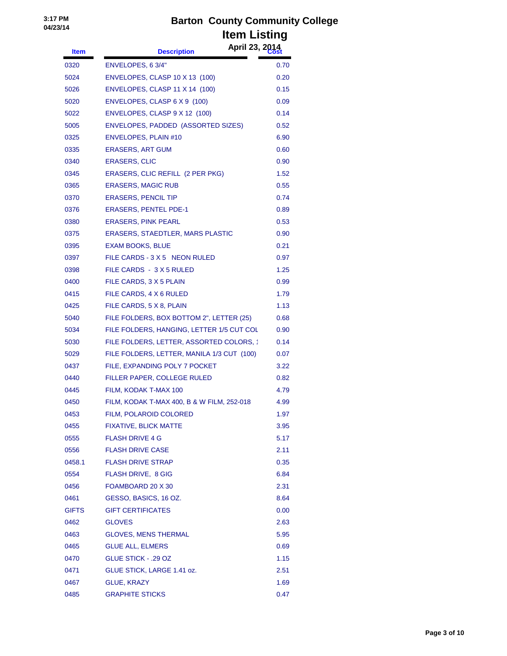| <b>Item</b>  | April 23, 2014<br><b>Description</b>       |      |
|--------------|--------------------------------------------|------|
| 0320         | ENVELOPES, 6 3/4"                          | 0.70 |
| 5024         | ENVELOPES, CLASP 10 X 13 (100)             | 0.20 |
| 5026         | ENVELOPES, CLASP 11 X 14 (100)             | 0.15 |
| 5020         | ENVELOPES, CLASP 6 X 9 (100)               | 0.09 |
| 5022         | ENVELOPES, CLASP 9 X 12 (100)              | 0.14 |
| 5005         | ENVELOPES, PADDED (ASSORTED SIZES)         | 0.52 |
| 0325         | <b>ENVELOPES, PLAIN #10</b>                | 6.90 |
| 0335         | <b>ERASERS, ART GUM</b>                    | 0.60 |
| 0340         | <b>ERASERS, CLIC</b>                       | 0.90 |
| 0345         | ERASERS, CLIC REFILL (2 PER PKG)           | 1.52 |
| 0365         | <b>ERASERS, MAGIC RUB</b>                  | 0.55 |
| 0370         | <b>ERASERS, PENCIL TIP</b>                 | 0.74 |
| 0376         | <b>ERASERS, PENTEL PDE-1</b>               | 0.89 |
| 0380         | <b>ERASERS, PINK PEARL</b>                 | 0.53 |
| 0375         | ERASERS, STAEDTLER, MARS PLASTIC           | 0.90 |
| 0395         | <b>EXAM BOOKS, BLUE</b>                    | 0.21 |
| 0397         | FILE CARDS - 3 X 5 NEON RULED              | 0.97 |
| 0398         | FILE CARDS - 3 X 5 RULED                   | 1.25 |
| 0400         | FILE CARDS, 3 X 5 PLAIN                    | 0.99 |
| 0415         | FILE CARDS, 4 X 6 RULED                    | 1.79 |
| 0425         | FILE CARDS, 5 X 8, PLAIN                   | 1.13 |
| 5040         | FILE FOLDERS, BOX BOTTOM 2", LETTER (25)   | 0.68 |
| 5034         | FILE FOLDERS, HANGING, LETTER 1/5 CUT COL  | 0.90 |
| 5030         | FILE FOLDERS, LETTER, ASSORTED COLORS, 1   | 0.14 |
| 5029         | FILE FOLDERS, LETTER, MANILA 1/3 CUT (100) | 0.07 |
| 0437         | FILE, EXPANDING POLY 7 POCKET              | 3.22 |
| 0440         | FILLER PAPER, COLLEGE RULED                | 0.82 |
| 0445         | FILM, KODAK T-MAX 100                      | 4.79 |
| 0450         | FILM, KODAK T-MAX 400, B & W FILM, 252-018 | 4.99 |
| 0453         | FILM, POLAROID COLORED                     | 1.97 |
| 0455         | <b>FIXATIVE, BLICK MATTE</b>               | 3.95 |
| 0555         | <b>FLASH DRIVE 4 G</b>                     | 5.17 |
| 0556         | <b>FLASH DRIVE CASE</b>                    | 2.11 |
| 0458.1       | <b>FLASH DRIVE STRAP</b>                   | 0.35 |
| 0554         | FLASH DRIVE, 8 GIG                         | 6.84 |
| 0456         | FOAMBOARD 20 X 30                          | 2.31 |
| 0461         | GESSO, BASICS, 16 OZ.                      | 8.64 |
| <b>GIFTS</b> | <b>GIFT CERTIFICATES</b>                   | 0.00 |
| 0462         | <b>GLOVES</b>                              | 2.63 |
| 0463         | <b>GLOVES, MENS THERMAL</b>                | 5.95 |
| 0465         | <b>GLUE ALL, ELMERS</b>                    | 0.69 |
| 0470         | <b>GLUE STICK - .29 OZ</b>                 | 1.15 |
| 0471         | GLUE STICK, LARGE 1.41 oz.                 | 2.51 |
| 0467         | GLUE, KRAZY                                | 1.69 |
| 0485         | <b>GRAPHITE STICKS</b>                     | 0.47 |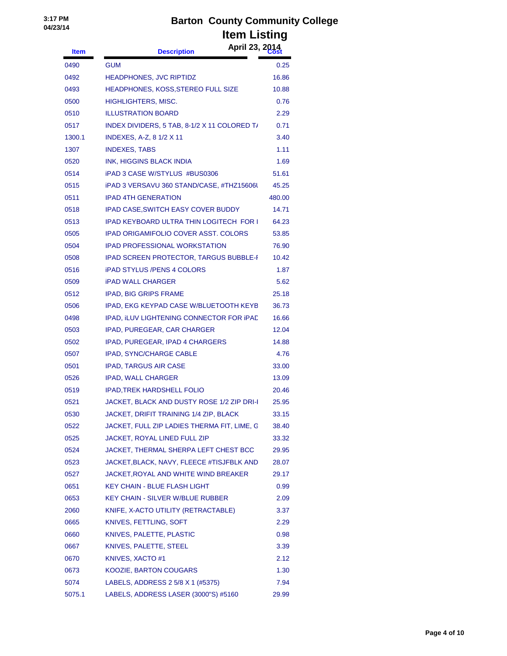| <b>Item</b> | April 23, 2014<br><b>Description</b>           |        |
|-------------|------------------------------------------------|--------|
| 0490        | <b>GUM</b>                                     | 0.25   |
| 0492        | <b>HEADPHONES, JVC RIPTIDZ</b>                 | 16.86  |
| 0493        | HEADPHONES, KOSS, STEREO FULL SIZE             | 10.88  |
| 0500        | HIGHLIGHTERS, MISC.                            | 0.76   |
| 0510        | <b>ILLUSTRATION BOARD</b>                      | 2.29   |
| 0517        | INDEX DIVIDERS, 5 TAB, 8-1/2 X 11 COLORED T/   | 0.71   |
| 1300.1      | <b>INDEXES, A-Z, 8 1/2 X 11</b>                | 3.40   |
| 1307        | <b>INDEXES, TABS</b>                           | 1.11   |
| 0520        | INK, HIGGINS BLACK INDIA                       | 1.69   |
| 0514        | iPAD 3 CASE W/STYLUS #BUS0306                  | 51.61  |
| 0515        | iPAD 3 VERSAVU 360 STAND/CASE, #THZ15606U      | 45.25  |
| 0511        | <b>IPAD 4TH GENERATION</b>                     | 480.00 |
| 0518        | <b>IPAD CASE, SWITCH EASY COVER BUDDY</b>      | 14.71  |
| 0513        | <b>IPAD KEYBOARD ULTRA THIN LOGITECH FOR I</b> | 64.23  |
| 0505        | <b>IPAD ORIGAMIFOLIO COVER ASST. COLORS</b>    | 53.85  |
| 0504        | <b>IPAD PROFESSIONAL WORKSTATION</b>           | 76.90  |
| 0508        | <b>IPAD SCREEN PROTECTOR, TARGUS BUBBLE-F</b>  | 10.42  |
| 0516        | <b>iPAD STYLUS /PENS 4 COLORS</b>              | 1.87   |
| 0509        | <b>iPAD WALL CHARGER</b>                       | 5.62   |
| 0512        | <b>IPAD, BIG GRIPS FRAME</b>                   | 25.18  |
| 0506        | IPAD, EKG KEYPAD CASE W/BLUETOOTH KEYB         | 36.73  |
| 0498        | IPAD, ILUV LIGHTENING CONNECTOR FOR IPAD       | 16.66  |
| 0503        | IPAD, PUREGEAR, CAR CHARGER                    | 12.04  |
| 0502        | IPAD, PUREGEAR, IPAD 4 CHARGERS                | 14.88  |
| 0507        | <b>IPAD, SYNC/CHARGE CABLE</b>                 | 4.76   |
| 0501        | <b>IPAD, TARGUS AIR CASE</b>                   | 33.00  |
| 0526        | <b>IPAD, WALL CHARGER</b>                      | 13.09  |
| 0519        | <b>IPAD, TREK HARDSHELL FOLIO</b>              | 20.46  |
| 0521        | JACKET, BLACK AND DUSTY ROSE 1/2 ZIP DRI-I     | 25.95  |
| 0530        | JACKET, DRIFIT TRAINING 1/4 ZIP, BLACK         | 33.15  |
| 0522        | JACKET, FULL ZIP LADIES THERMA FIT, LIME, G    | 38.40  |
| 0525        | JACKET, ROYAL LINED FULL ZIP                   | 33.32  |
| 0524        | JACKET, THERMAL SHERPA LEFT CHEST BCC          | 29.95  |
| 0523        | JACKET, BLACK, NAVY, FLEECE #TISJFBLK AND      | 28.07  |
| 0527        | JACKET, ROYAL AND WHITE WIND BREAKER           | 29.17  |
| 0651        | <b>KEY CHAIN - BLUE FLASH LIGHT</b>            | 0.99   |
| 0653        | <b>KEY CHAIN - SILVER W/BLUE RUBBER</b>        | 2.09   |
| 2060        | KNIFE, X-ACTO UTILITY (RETRACTABLE)            | 3.37   |
| 0665        | KNIVES, FETTLING, SOFT                         | 2.29   |
| 0660        | KNIVES, PALETTE, PLASTIC                       | 0.98   |
| 0667        | KNIVES, PALETTE, STEEL                         | 3.39   |
| 0670        | KNIVES, XACTO #1                               | 2.12   |
| 0673        | KOOZIE, BARTON COUGARS                         | 1.30   |
| 5074        | LABELS, ADDRESS 2 5/8 X 1 (#5375)              | 7.94   |
| 5075.1      | LABELS, ADDRESS LASER (3000"S) #5160           | 29.99  |
|             |                                                |        |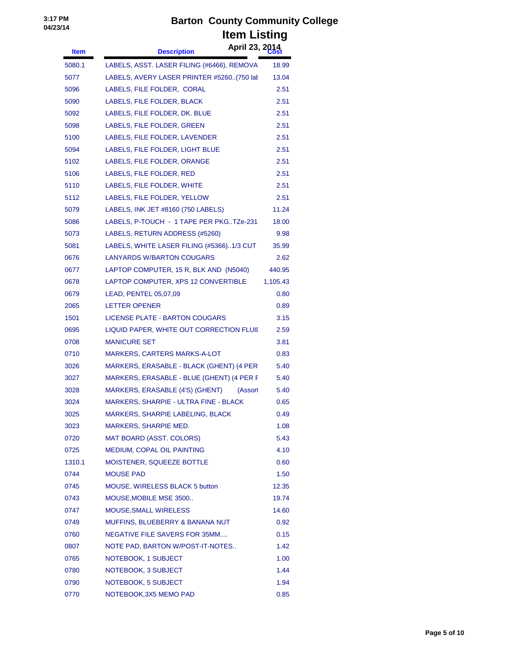| <b>Item</b> | April 23, 2014<br><b>Description</b>       |          |
|-------------|--------------------------------------------|----------|
| 5080.1      | LABELS, ASST. LASER FILING (#6466), REMOVA | 18.99    |
| 5077        | LABELS, AVERY LASER PRINTER #5260(750 lat  | 13.04    |
| 5096        | LABELS, FILE FOLDER, CORAL                 | 2.51     |
| 5090        | LABELS, FILE FOLDER, BLACK                 | 2.51     |
| 5092        | LABELS, FILE FOLDER, DK. BLUE              | 2.51     |
| 5098        | LABELS, FILE FOLDER, GREEN                 | 2.51     |
| 5100        | LABELS, FILE FOLDER, LAVENDER              | 2.51     |
| 5094        | LABELS, FILE FOLDER, LIGHT BLUE            | 2.51     |
| 5102        | LABELS, FILE FOLDER, ORANGE                | 2.51     |
| 5106        | LABELS, FILE FOLDER, RED                   | 2.51     |
| 5110        | LABELS, FILE FOLDER, WHITE                 | 2.51     |
| 5112        | LABELS, FILE FOLDER, YELLOW                | 2.51     |
| 5079        | LABELS, INK JET #8160 (750 LABELS)         | 11.24    |
| 5086        | LABELS, P-TOUCH - 1 TAPE PER PKGTZe-231    | 18.00    |
| 5073        | LABELS, RETURN ADDRESS (#5260)             | 9.98     |
| 5081        | LABELS, WHITE LASER FILING (#5366)1/3 CUT  | 35.99    |
| 0676        | <b>LANYARDS W/BARTON COUGARS</b>           | 2.62     |
| 0677        | LAPTOP COMPUTER, 15 R, BLK AND (N5040)     | 440.95   |
| 0678        | LAPTOP COMPUTER, XPS 12 CONVERTIBLE        | 1,105.43 |
| 0679        | LEAD, PENTEL 05,07,09                      | 0.80     |
| 2065        | <b>LETTER OPENER</b>                       | 0.89     |
| 1501        | LICENSE PLATE - BARTON COUGARS             | 3.15     |
| 0695        | LIQUID PAPER, WHITE OUT CORRECTION FLUII   | 2.59     |
| 0708        | <b>MANICURE SET</b>                        | 3.81     |
| 0710        | MARKERS, CARTERS MARKS-A-LOT               | 0.83     |
| 3026        | MARKERS, ERASABLE - BLACK (GHENT) (4 PER   | 5.40     |
| 3027        | MARKERS, ERASABLE - BLUE (GHENT) (4 PER F  | 5.40     |
| 3028        | MARKERS, ERASABLE (4'S) (GHENT)<br>(Assort | 5.40     |
| 3024        | MARKERS, SHARPIE - ULTRA FINE - BLACK      | 0.65     |
| 3025        | MARKERS, SHARPIE LABELING, BLACK           | 0.49     |
| 3023        | MARKERS, SHARPIE MED.                      | 1.08     |
| 0720        | <b>MAT BOARD (ASST. COLORS)</b>            | 5.43     |
| 0725        | MEDIUM, COPAL OIL PAINTING                 | 4.10     |
| 1310.1      | MOISTENER, SQUEEZE BOTTLE                  | 0.60     |
| 0744        | <b>MOUSE PAD</b>                           | 1.50     |
| 0745        | MOUSE, WIRELESS BLACK 5 button             | 12.35    |
| 0743        | MOUSE, MOBILE MSE 3500                     | 19.74    |
| 0747        | <b>MOUSE, SMALL WIRELESS</b>               | 14.60    |
| 0749        | MUFFINS, BLUEBERRY & BANANA NUT            | 0.92     |
| 0760        | NEGATIVE FILE SAVERS FOR 35MM              | 0.15     |
| 0807        | NOTE PAD, BARTON W/POST-IT-NOTES           | 1.42     |
| 0765        | NOTEBOOK, 1 SUBJECT                        | 1.00     |
| 0780        | NOTEBOOK, 3 SUBJECT                        | 1.44     |
| 0790        | NOTEBOOK, 5 SUBJECT                        | 1.94     |
| 0770        | NOTEBOOK, 3X5 MEMO PAD                     | 0.85     |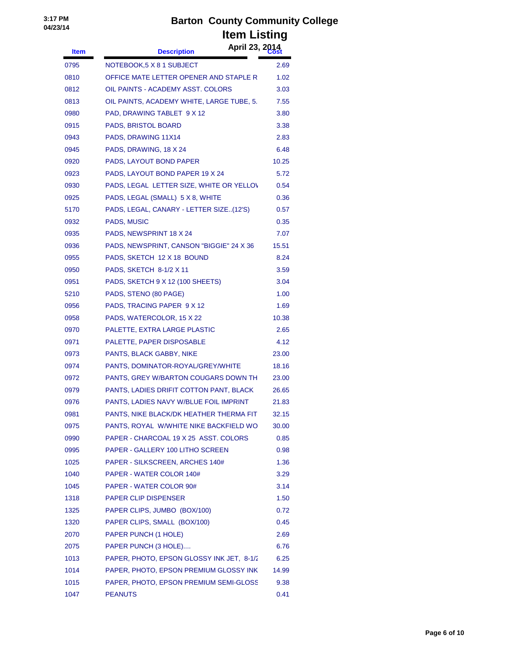| <b>Item</b> | <b>Description</b>                        | April 23, 2014 |
|-------------|-------------------------------------------|----------------|
| 0795        | NOTEBOOK,5 X 8 1 SUBJECT                  | 2.69           |
| 0810        | OFFICE MATE LETTER OPENER AND STAPLE R    | 1.02           |
| 0812        | OIL PAINTS - ACADEMY ASST. COLORS         | 3.03           |
| 0813        | OIL PAINTS, ACADEMY WHITE, LARGE TUBE, 5. | 7.55           |
| 0980        | PAD, DRAWING TABLET 9 X 12                | 3.80           |
| 0915        | PADS, BRISTOL BOARD                       | 3.38           |
| 0943        | PADS, DRAWING 11X14                       | 2.83           |
| 0945        | PADS, DRAWING, 18 X 24                    | 6.48           |
| 0920        | PADS, LAYOUT BOND PAPER                   | 10.25          |
| 0923        | PADS, LAYOUT BOND PAPER 19 X 24           | 5.72           |
| 0930        | PADS, LEGAL LETTER SIZE, WHITE OR YELLOV  | 0.54           |
| 0925        | PADS, LEGAL (SMALL) 5 X 8, WHITE          | 0.36           |
| 5170        | PADS, LEGAL, CANARY - LETTER SIZE(12'S)   | 0.57           |
| 0932        | PADS, MUSIC                               | 0.35           |
| 0935        | PADS, NEWSPRINT 18 X 24                   | 7.07           |
| 0936        | PADS, NEWSPRINT, CANSON "BIGGIE" 24 X 36  | 15.51          |
| 0955        | PADS, SKETCH 12 X 18 BOUND                | 8.24           |
| 0950        | PADS, SKETCH 8-1/2 X 11                   | 3.59           |
| 0951        | PADS, SKETCH 9 X 12 (100 SHEETS)          | 3.04           |
| 5210        | PADS, STENO (80 PAGE)                     | 1.00           |
| 0956        | PADS, TRACING PAPER 9 X 12                | 1.69           |
| 0958        | PADS, WATERCOLOR, 15 X 22                 | 10.38          |
| 0970        | PALETTE, EXTRA LARGE PLASTIC              | 2.65           |
| 0971        | PALETTE, PAPER DISPOSABLE                 | 4.12           |
| 0973        | PANTS, BLACK GABBY, NIKE                  | 23.00          |
| 0974        | PANTS, DOMINATOR-ROYAL/GREY/WHITE         | 18.16          |
| 0972        | PANTS, GREY W/BARTON COUGARS DOWN TH      | 23.00          |
| 0979        | PANTS, LADIES DRIFIT COTTON PANT, BLACK   | 26.65          |
| 0976        | PANTS, LADIES NAVY W/BLUE FOIL IMPRINT    | 21.83          |
| 0981        | PANTS, NIKE BLACK/DK HEATHER THERMA FIT   | 32.15          |
| 0975        | PANTS, ROYAL W/WHITE NIKE BACKFIELD WO    | 30.00          |
| 0990        | PAPER - CHARCOAL 19 X 25 ASST. COLORS     | 0.85           |
| 0995        | PAPER - GALLERY 100 LITHO SCREEN          | 0.98           |
| 1025        | PAPER - SILKSCREEN, ARCHES 140#           | 1.36           |
| 1040        | PAPER - WATER COLOR 140#                  | 3.29           |
| 1045        | PAPER - WATER COLOR 90#                   | 3.14           |
| 1318        | <b>PAPER CLIP DISPENSER</b>               | 1.50           |
| 1325        | PAPER CLIPS, JUMBO (BOX/100)              | 0.72           |
| 1320        | PAPER CLIPS, SMALL (BOX/100)              | 0.45           |
| 2070        | PAPER PUNCH (1 HOLE)                      | 2.69           |
| 2075        | PAPER PUNCH (3 HOLE)                      | 6.76           |
| 1013        | PAPER, PHOTO, EPSON GLOSSY INK JET, 8-1/2 | 6.25           |
| 1014        | PAPER, PHOTO, EPSON PREMIUM GLOSSY INK    | 14.99          |
| 1015        | PAPER, PHOTO, EPSON PREMIUM SEMI-GLOSS    | 9.38           |
| 1047        | <b>PEANUTS</b>                            | 0.41           |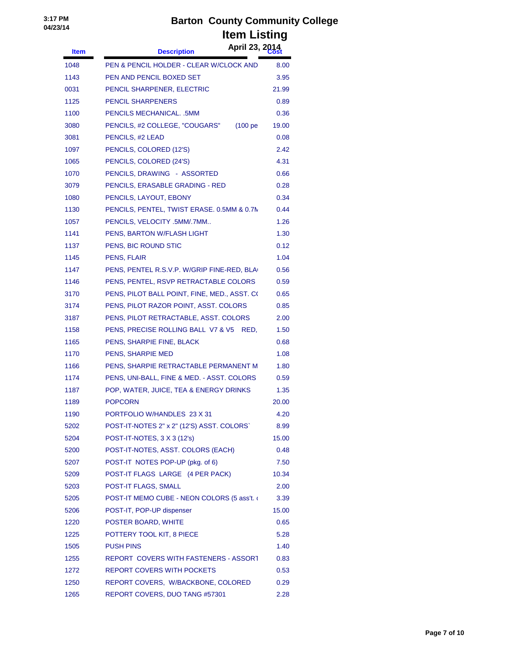| <b>Item</b> | April 23, 2014<br><b>Description</b>                   |       |
|-------------|--------------------------------------------------------|-------|
| 1048        | PEN & PENCIL HOLDER - CLEAR W/CLOCK AND                | 8.00  |
| 1143        | PEN AND PENCIL BOXED SET                               | 3.95  |
| 0031        | PENCIL SHARPENER, ELECTRIC                             | 21.99 |
| 1125        | <b>PENCIL SHARPENERS</b>                               | 0.89  |
| 1100        | PENCILS MECHANICAL. .5MM                               | 0.36  |
| 3080        | PENCILS, #2 COLLEGE, "COUGARS"<br>(100 <sub>pe</sub> ) | 19.00 |
| 3081        | PENCILS, #2 LEAD                                       | 0.08  |
| 1097        | PENCILS, COLORED (12'S)                                | 2.42  |
| 1065        | PENCILS, COLORED (24'S)                                | 4.31  |
| 1070        | PENCILS, DRAWING - ASSORTED                            | 0.66  |
| 3079        | PENCILS, ERASABLE GRADING - RED                        | 0.28  |
| 1080        | PENCILS, LAYOUT, EBONY                                 | 0.34  |
| 1130        | PENCILS, PENTEL, TWIST ERASE. 0.5MM & 0.7M             | 0.44  |
| 1057        | PENCILS, VELOCITY .5MM/.7MM                            | 1.26  |
| 1141        | PENS, BARTON W/FLASH LIGHT                             | 1.30  |
| 1137        | PENS, BIC ROUND STIC                                   | 0.12  |
| 1145        | PENS, FLAIR                                            | 1.04  |
| 1147        | PENS, PENTEL R.S.V.P. W/GRIP FINE-RED, BLA             | 0.56  |
| 1146        | PENS, PENTEL, RSVP RETRACTABLE COLORS                  | 0.59  |
| 3170        | PENS, PILOT BALL POINT, FINE, MED., ASST. CO           | 0.65  |
| 3174        | PENS, PILOT RAZOR POINT, ASST. COLORS                  | 0.85  |
| 3187        | PENS, PILOT RETRACTABLE, ASST. COLORS                  | 2.00  |
| 1158        | PENS, PRECISE ROLLING BALL V7 & V5<br>RED,             | 1.50  |
| 1165        | PENS, SHARPIE FINE, BLACK                              | 0.68  |
| 1170        | PENS, SHARPIE MED                                      | 1.08  |
| 1166        | PENS, SHARPIE RETRACTABLE PERMANENT M                  | 1.80  |
| 1174        | PENS, UNI-BALL, FINE & MED. - ASST. COLORS             | 0.59  |
| 1187        | POP, WATER, JUICE, TEA & ENERGY DRINKS                 | 1.35  |
| 1189        | <b>POPCORN</b>                                         | 20.00 |
| 1190        | PORTFOLIO W/HANDLES 23 X 31                            | 4.20  |
| 5202        | POST-IT-NOTES 2" x 2" (12'S) ASST. COLORS`             | 8.99  |
| 5204        | POST-IT-NOTES, 3 X 3 (12's)                            | 15.00 |
| 5200        | POST-IT-NOTES, ASST. COLORS (EACH)                     | 0.48  |
| 5207        | POST-IT NOTES POP-UP (pkg. of 6)                       | 7.50  |
| 5209        | POST-IT FLAGS LARGE (4 PER PACK)                       | 10.34 |
| 5203        | POST-IT FLAGS, SMALL                                   | 2.00  |
| 5205        | POST-IT MEMO CUBE - NEON COLORS (5 ass't. o            | 3.39  |
| 5206        | POST-IT, POP-UP dispenser                              | 15.00 |
| 1220        | POSTER BOARD, WHITE                                    | 0.65  |
| 1225        | POTTERY TOOL KIT, 8 PIECE                              | 5.28  |
| 1505        | <b>PUSH PINS</b>                                       | 1.40  |
| 1255        | REPORT COVERS WITH FASTENERS - ASSORT                  | 0.83  |
| 1272        | <b>REPORT COVERS WITH POCKETS</b>                      | 0.53  |
| 1250        | REPORT COVERS, W/BACKBONE, COLORED                     | 0.29  |
| 1265        | REPORT COVERS, DUO TANG #57301                         | 2.28  |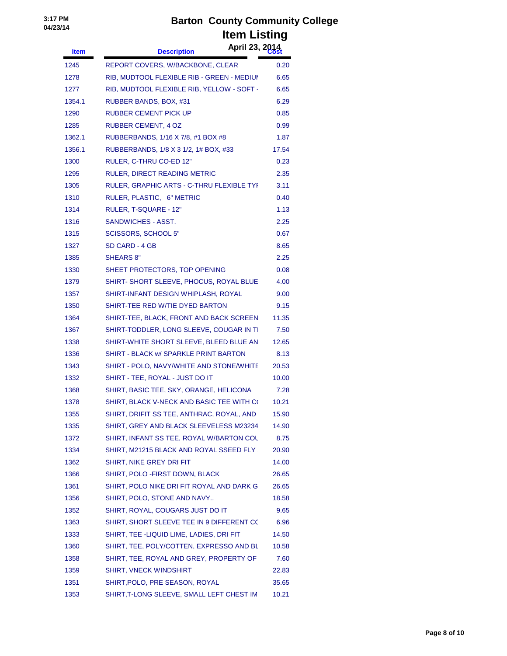| <b>Item</b> | April 23, 2014<br><b>Description</b>       |       |
|-------------|--------------------------------------------|-------|
| 1245        | REPORT COVERS, W/BACKBONE, CLEAR           | 0.20  |
| 1278        | RIB, MUDTOOL FLEXIBLE RIB - GREEN - MEDIUI | 6.65  |
| 1277        | RIB, MUDTOOL FLEXIBLE RIB, YELLOW - SOFT - | 6.65  |
| 1354.1      | RUBBER BANDS, BOX, #31                     | 6.29  |
| 1290        | RUBBER CEMENT PICK UP                      | 0.85  |
| 1285        | <b>RUBBER CEMENT, 4 OZ</b>                 | 0.99  |
| 1362.1      | RUBBERBANDS, 1/16 X 7/8, #1 BOX #8         | 1.87  |
| 1356.1      | RUBBERBANDS, 1/8 X 3 1/2, 1# BOX, #33      | 17.54 |
| 1300        | RULER, C-THRU CO-ED 12"                    | 0.23  |
| 1295        | RULER, DIRECT READING METRIC               | 2.35  |
| 1305        | RULER, GRAPHIC ARTS - C-THRU FLEXIBLE TYI  | 3.11  |
| 1310        | RULER, PLASTIC, 6" METRIC                  | 0.40  |
| 1314        | RULER, T-SQUARE - 12"                      | 1.13  |
| 1316        | SANDWICHES - ASST.                         | 2.25  |
| 1315        | SCISSORS, SCHOOL 5"                        | 0.67  |
| 1327        | SD CARD - 4 GB                             | 8.65  |
| 1385        | <b>SHEARS 8"</b>                           | 2.25  |
| 1330        | SHEET PROTECTORS, TOP OPENING              | 0.08  |
| 1379        | SHIRT- SHORT SLEEVE, PHOCUS, ROYAL BLUE    | 4.00  |
| 1357        | SHIRT-INFANT DESIGN WHIPLASH, ROYAL        | 9.00  |
| 1350        | SHIRT-TEE RED W/TIE DYED BARTON            | 9.15  |
| 1364        | SHIRT-TEE, BLACK, FRONT AND BACK SCREEN    | 11.35 |
| 1367        | SHIRT-TODDLER, LONG SLEEVE, COUGAR IN TI   | 7.50  |
| 1338        | SHIRT-WHITE SHORT SLEEVE, BLEED BLUE AN    | 12.65 |
| 1336        | SHIRT - BLACK w/ SPARKLE PRINT BARTON      | 8.13  |
| 1343        | SHIRT - POLO, NAVY/WHITE AND STONE/WHITE   | 20.53 |
| 1332        | SHIRT - TEE, ROYAL - JUST DO IT            | 10.00 |
| 1368        | SHIRT, BASIC TEE, SKY, ORANGE, HELICONA    | 7.28  |
| 1378        | SHIRT, BLACK V-NECK AND BASIC TEE WITH CO  | 10.21 |
| 1355        | SHIRT, DRIFIT SS TEE, ANTHRAC, ROYAL, AND  | 15.90 |
| 1335        | SHIRT, GREY AND BLACK SLEEVELESS M23234    | 14.90 |
| 1372        | SHIRT, INFANT SS TEE, ROYAL W/BARTON COL   | 8.75  |
| 1334        | SHIRT, M21215 BLACK AND ROYAL SSEED FLY    | 20.90 |
| 1362        | SHIRT, NIKE GREY DRI FIT                   | 14.00 |
| 1366        | SHIRT, POLO - FIRST DOWN, BLACK            | 26.65 |
| 1361        | SHIRT, POLO NIKE DRI FIT ROYAL AND DARK G  | 26.65 |
| 1356        | SHIRT, POLO, STONE AND NAVY                | 18.58 |
| 1352        | SHIRT, ROYAL, COUGARS JUST DO IT           | 9.65  |
| 1363        | SHIRT, SHORT SLEEVE TEE IN 9 DIFFERENT CO  | 6.96  |
| 1333        | SHIRT, TEE -LIQUID LIME, LADIES, DRI FIT   | 14.50 |
| 1360        | SHIRT, TEE, POLY/COTTEN, EXPRESSO AND BL   | 10.58 |
| 1358        | SHIRT, TEE, ROYAL AND GREY, PROPERTY OF    | 7.60  |
| 1359        | SHIRT, VNECK WINDSHIRT                     | 22.83 |
| 1351        | SHIRT, POLO, PRE SEASON, ROYAL             | 35.65 |
| 1353        | SHIRT, T-LONG SLEEVE, SMALL LEFT CHEST IM  | 10.21 |
|             |                                            |       |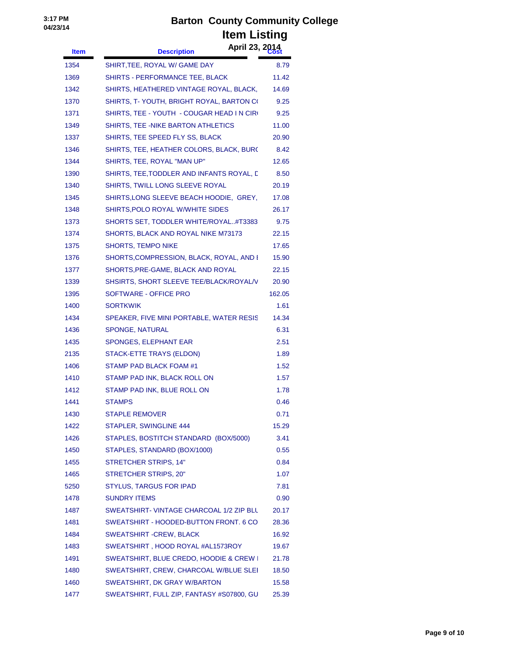| <b>Item</b> | April 23, 2014<br><b>Description</b>       |        |
|-------------|--------------------------------------------|--------|
| 1354        | SHIRT, TEE, ROYAL W/ GAME DAY              | 8.79   |
| 1369        | SHIRTS - PERFORMANCE TEE, BLACK            | 11.42  |
| 1342        | SHIRTS, HEATHERED VINTAGE ROYAL, BLACK,    | 14.69  |
| 1370        | SHIRTS, T- YOUTH, BRIGHT ROYAL, BARTON CO  | 9.25   |
| 1371        | SHIRTS, TEE - YOUTH - COUGAR HEAD I N CIRC | 9.25   |
| 1349        | SHIRTS, TEE -NIKE BARTON ATHLETICS         | 11.00  |
| 1337        | SHIRTS, TEE SPEED FLY SS, BLACK            | 20.90  |
| 1346        | SHIRTS, TEE, HEATHER COLORS, BLACK, BURC   | 8.42   |
| 1344        | SHIRTS, TEE, ROYAL "MAN UP"                | 12.65  |
| 1390        | SHIRTS, TEE, TODDLER AND INFANTS ROYAL, D  | 8.50   |
| 1340        | SHIRTS, TWILL LONG SLEEVE ROYAL            | 20.19  |
| 1345        | SHIRTS, LONG SLEEVE BEACH HOODIE, GREY,    | 17.08  |
| 1348        | SHIRTS, POLO ROYAL W/WHITE SIDES           | 26.17  |
| 1373        | SHORTS SET, TODDLER WHITE/ROYAL#T3383      | 9.75   |
| 1374        | SHORTS, BLACK AND ROYAL NIKE M73173        | 22.15  |
| 1375        | <b>SHORTS, TEMPO NIKE</b>                  | 17.65  |
| 1376        | SHORTS,COMPRESSION, BLACK, ROYAL, AND I    | 15.90  |
| 1377        | SHORTS, PRE-GAME, BLACK AND ROYAL          | 22.15  |
| 1339        | SHSIRTS, SHORT SLEEVE TEE/BLACK/ROYAL/V    | 20.90  |
| 1395        | SOFTWARE - OFFICE PRO                      | 162.05 |
| 1400        | <b>SORTKWIK</b>                            | 1.61   |
| 1434        | SPEAKER, FIVE MINI PORTABLE, WATER RESIS   | 14.34  |
| 1436        | SPONGE, NATURAL                            | 6.31   |
| 1435        | SPONGES, ELEPHANT EAR                      | 2.51   |
| 2135        | STACK-ETTE TRAYS (ELDON)                   | 1.89   |
| 1406        | STAMP PAD BLACK FOAM #1                    | 1.52   |
| 1410        | STAMP PAD INK, BLACK ROLL ON               | 1.57   |
| 1412        | STAMP PAD INK, BLUE ROLL ON                | 1.78   |
| 1441        | <b>STAMPS</b>                              | 0.46   |
| 1430        | <b>STAPLE REMOVER</b>                      | 0.71   |
| 1422        | STAPLER, SWINGLINE 444                     | 15.29  |
| 1426        | STAPLES, BOSTITCH STANDARD (BOX/5000)      | 3.41   |
| 1450        | STAPLES, STANDARD (BOX/1000)               | 0.55   |
| 1455        | <b>STRETCHER STRIPS, 14"</b>               | 0.84   |
| 1465        | <b>STRETCHER STRIPS, 20"</b>               | 1.07   |
| 5250        | <b>STYLUS, TARGUS FOR IPAD</b>             | 7.81   |
| 1478        | <b>SUNDRY ITEMS</b>                        | 0.90   |
| 1487        | SWEATSHIRT- VINTAGE CHARCOAL 1/2 ZIP BLL   | 20.17  |
| 1481        | SWEATSHIRT - HOODED-BUTTON FRONT. 6 CO     | 28.36  |
| 1484        | SWEATSHIRT - CREW, BLACK                   | 16.92  |
| 1483        | SWEATSHIRT, HOOD ROYAL #AL1573ROY          | 19.67  |
| 1491        | SWEATSHIRT, BLUE CREDO, HOODIE & CREW I    | 21.78  |
| 1480        | SWEATSHIRT, CREW, CHARCOAL W/BLUE SLEI     | 18.50  |
| 1460        | SWEATSHIRT, DK GRAY W/BARTON               | 15.58  |
| 1477        | SWEATSHIRT, FULL ZIP, FANTASY #S07800, GU  | 25.39  |